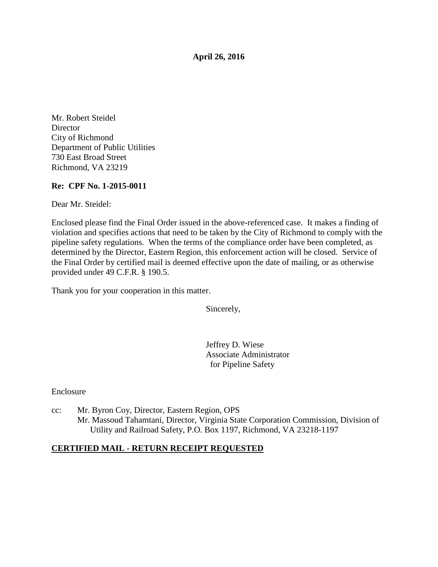**April 26, 2016** 

Mr. Robert Steidel **Director** City of Richmond Department of Public Utilities 730 East Broad Street Richmond, VA 23219

#### **Re: CPF No. 1-2015-0011**

Dear Mr. Steidel:

Enclosed please find the Final Order issued in the above-referenced case. It makes a finding of violation and specifies actions that need to be taken by the City of Richmond to comply with the pipeline safety regulations. When the terms of the compliance order have been completed, as determined by the Director, Eastern Region, this enforcement action will be closed. Service of the Final Order by certified mail is deemed effective upon the date of mailing, or as otherwise provided under 49 C.F.R. § 190.5.

Thank you for your cooperation in this matter.

Sincerely,

Jeffrey D. Wiese Associate Administrator for Pipeline Safety

Enclosure

cc: Mr. Byron Coy, Director, Eastern Region, OPS Mr. Massoud Tahamtani, Director, Virginia State Corporation Commission, Division of Utility and Railroad Safety, P.O. Box 1197, Richmond, VA 23218-1197

#### **CERTIFIED MAIL - RETURN RECEIPT REQUESTED**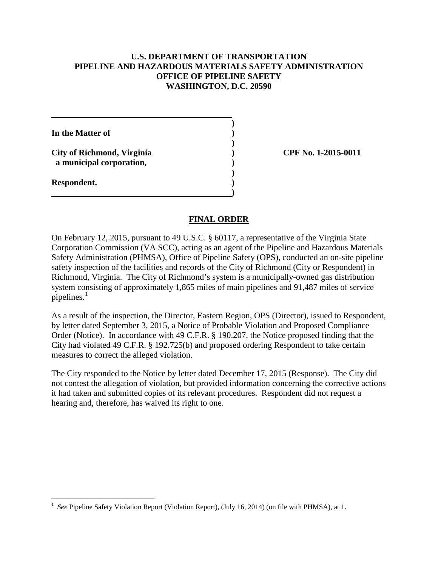### **U.S. DEPARTMENT OF TRANSPORTATION PIPELINE AND HAZARDOUS MATERIALS SAFETY ADMINISTRATION OFFICE OF PIPELINE SAFETY WASHINGTON, D.C. 20590**

**) In the Matter of ) ) City of Richmond, Virginia ) CPF No. 1-2015-0011 a municipal corporation, ) ) Respondent. ) )** 

#### **FINAL ORDER**

On February 12, 2015, pursuant to 49 U.S.C. § 60117, a representative of the Virginia State Corporation Commission (VA SCC), acting as an agent of the Pipeline and Hazardous Materials Safety Administration (PHMSA), Office of Pipeline Safety (OPS), conducted an on-site pipeline safety inspection of the facilities and records of the City of Richmond (City or Respondent) in Richmond, Virginia. The City of Richmond's system is a municipally-owned gas distribution system consisting of approximately 1,865 miles of main pipelines and 91,487 miles of service pipelines. $<sup>1</sup>$ </sup>

As a result of the inspection, the Director, Eastern Region, OPS (Director), issued to Respondent, by letter dated September 3, 2015, a Notice of Probable Violation and Proposed Compliance Order (Notice). In accordance with 49 C.F.R. § 190.207, the Notice proposed finding that the City had violated 49 C.F.R. § 192.725(b) and proposed ordering Respondent to take certain measures to correct the alleged violation.

The City responded to the Notice by letter dated December 17, 2015 (Response). The City did not contest the allegation of violation, but provided information concerning the corrective actions it had taken and submitted copies of its relevant procedures. Respondent did not request a hearing and, therefore, has waived its right to one.

 $\overline{a}$ 

<sup>1</sup> *See* Pipeline Safety Violation Report (Violation Report), (July 16, 2014) (on file with PHMSA), at 1.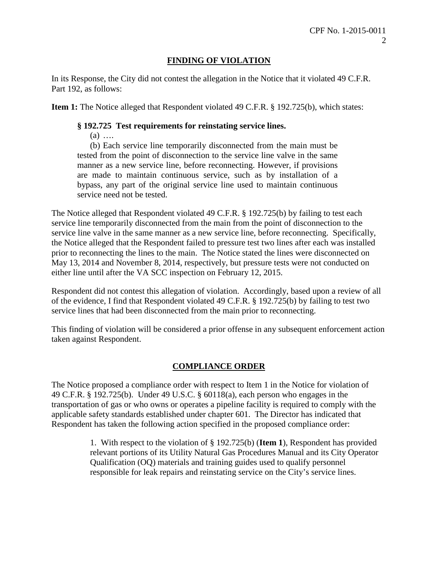# **FINDING OF VIOLATION**

In its Response, the City did not contest the allegation in the Notice that it violated 49 C.F.R. Part 192, as follows:

**Item 1:** The Notice alleged that Respondent violated 49 C.F.R. § 192.725(b), which states:

## **§ 192.725 Test requirements for reinstating service lines.**

(a) ….

(b) Each service line temporarily disconnected from the main must be tested from the point of disconnection to the service line valve in the same manner as a new service line, before reconnecting. However, if provisions are made to maintain continuous service, such as by installation of a bypass, any part of the original service line used to maintain continuous service need not be tested.

The Notice alleged that Respondent violated 49 C.F.R. § 192.725(b) by failing to test each service line temporarily disconnected from the main from the point of disconnection to the service line valve in the same manner as a new service line, before reconnecting. Specifically, the Notice alleged that the Respondent failed to pressure test two lines after each was installed prior to reconnecting the lines to the main. The Notice stated the lines were disconnected on May 13, 2014 and November 8, 2014, respectively, but pressure tests were not conducted on either line until after the VA SCC inspection on February 12, 2015.

Respondent did not contest this allegation of violation. Accordingly, based upon a review of all of the evidence, I find that Respondent violated 49 C.F.R. § 192.725(b) by failing to test two service lines that had been disconnected from the main prior to reconnecting.

This finding of violation will be considered a prior offense in any subsequent enforcement action taken against Respondent.

## **COMPLIANCE ORDER**

The Notice proposed a compliance order with respect to Item 1 in the Notice for violation of 49 C.F.R. § 192.725(b). Under 49 U.S.C. § 60118(a), each person who engages in the transportation of gas or who owns or operates a pipeline facility is required to comply with the applicable safety standards established under chapter 601. The Director has indicated that Respondent has taken the following action specified in the proposed compliance order:

> 1. With respect to the violation of § 192.725(b) (**Item 1**), Respondent has provided relevant portions of its Utility Natural Gas Procedures Manual and its City Operator Qualification (OQ) materials and training guides used to qualify personnel responsible for leak repairs and reinstating service on the City's service lines.